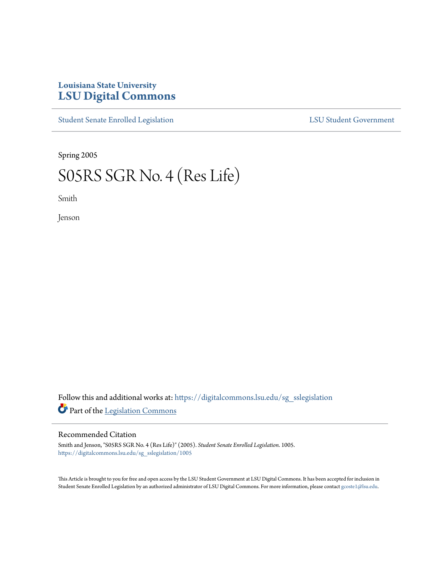## **Louisiana State University [LSU Digital Commons](https://digitalcommons.lsu.edu?utm_source=digitalcommons.lsu.edu%2Fsg_sslegislation%2F1005&utm_medium=PDF&utm_campaign=PDFCoverPages)**

[Student Senate Enrolled Legislation](https://digitalcommons.lsu.edu/sg_sslegislation?utm_source=digitalcommons.lsu.edu%2Fsg_sslegislation%2F1005&utm_medium=PDF&utm_campaign=PDFCoverPages) [LSU Student Government](https://digitalcommons.lsu.edu/sg?utm_source=digitalcommons.lsu.edu%2Fsg_sslegislation%2F1005&utm_medium=PDF&utm_campaign=PDFCoverPages)

Spring 2005

## S05RS SGR No. 4 (Res Life)

Smith

Jenson

Follow this and additional works at: [https://digitalcommons.lsu.edu/sg\\_sslegislation](https://digitalcommons.lsu.edu/sg_sslegislation?utm_source=digitalcommons.lsu.edu%2Fsg_sslegislation%2F1005&utm_medium=PDF&utm_campaign=PDFCoverPages) Part of the [Legislation Commons](http://network.bepress.com/hgg/discipline/859?utm_source=digitalcommons.lsu.edu%2Fsg_sslegislation%2F1005&utm_medium=PDF&utm_campaign=PDFCoverPages)

## Recommended Citation

Smith and Jenson, "S05RS SGR No. 4 (Res Life)" (2005). *Student Senate Enrolled Legislation*. 1005. [https://digitalcommons.lsu.edu/sg\\_sslegislation/1005](https://digitalcommons.lsu.edu/sg_sslegislation/1005?utm_source=digitalcommons.lsu.edu%2Fsg_sslegislation%2F1005&utm_medium=PDF&utm_campaign=PDFCoverPages)

This Article is brought to you for free and open access by the LSU Student Government at LSU Digital Commons. It has been accepted for inclusion in Student Senate Enrolled Legislation by an authorized administrator of LSU Digital Commons. For more information, please contact [gcoste1@lsu.edu.](mailto:gcoste1@lsu.edu)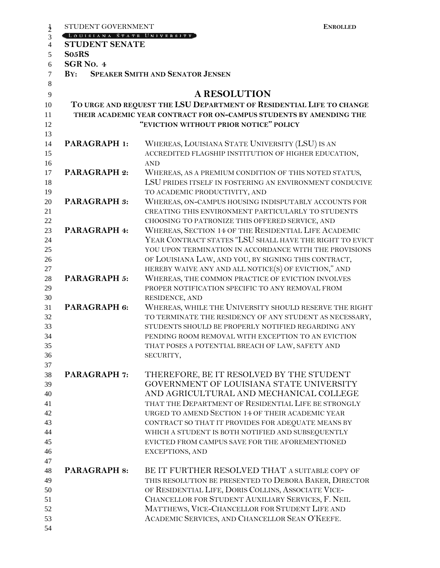| $\frac{1}{2}$  | STUDENT GOVERNMENT                                                   |                                                                     | <b>ENROLLED</b> |
|----------------|----------------------------------------------------------------------|---------------------------------------------------------------------|-----------------|
| 3              | LOUISIANA STATE UNIVERSITY                                           |                                                                     |                 |
| $\overline{4}$ | <b>STUDENT SENATE</b>                                                |                                                                     |                 |
| 5              | So <sub>5</sub> RS                                                   |                                                                     |                 |
| 6              | SGR <sub>NO</sub> . 4                                                |                                                                     |                 |
| $\overline{7}$ | $\mathbf{B} \mathbf{Y}$ :                                            | <b>SPEAKER SMITH AND SENATOR JENSEN</b>                             |                 |
| 8              |                                                                      |                                                                     |                 |
| 9              |                                                                      | <b>A RESOLUTION</b>                                                 |                 |
| 10             | TO URGE AND REQUEST THE LSU DEPARTMENT OF RESIDENTIAL LIFE TO CHANGE |                                                                     |                 |
| 11             |                                                                      | THEIR ACADEMIC YEAR CONTRACT FOR ON-CAMPUS STUDENTS BY AMENDING THE |                 |
| 12             |                                                                      | "EVICTION WITHOUT PRIOR NOTICE" POLICY                              |                 |
| 13             |                                                                      |                                                                     |                 |
| 14             | <b>PARAGRAPH 1:</b>                                                  | WHEREAS, LOUISIANA STATE UNIVERSITY (LSU) IS AN                     |                 |
| 15             |                                                                      | ACCREDITED FLAGSHIP INSTITUTION OF HIGHER EDUCATION,                |                 |
| 16             |                                                                      | <b>AND</b>                                                          |                 |
| 17             | <b>PARAGRAPH 2:</b>                                                  | WHEREAS, AS A PREMIUM CONDITION OF THIS NOTED STATUS,               |                 |
| 18             |                                                                      | LSU PRIDES ITSELF IN FOSTERING AN ENVIRONMENT CONDUCIVE             |                 |
| 19             |                                                                      | TO ACADEMIC PRODUCTIVITY, AND                                       |                 |
| 20             | PARAGRAPH 3:                                                         | WHEREAS, ON-CAMPUS HOUSING INDISPUTABLY ACCOUNTS FOR                |                 |
| 21             |                                                                      | CREATING THIS ENVIRONMENT PARTICULARLY TO STUDENTS                  |                 |
| 22             |                                                                      | CHOOSING TO PATRONIZE THIS OFFERED SERVICE, AND                     |                 |
| 23             | PARAGRAPH 4:                                                         | WHEREAS, SECTION 14 OF THE RESIDENTIAL LIFE ACADEMIC                |                 |
| 24             |                                                                      | YEAR CONTRACT STATES "LSU SHALL HAVE THE RIGHT TO EVICT             |                 |
| 25             |                                                                      | YOU UPON TERMINATION IN ACCORDANCE WITH THE PROVISIONS              |                 |
| 26             |                                                                      | OF LOUISIANA LAW, AND YOU, BY SIGNING THIS CONTRACT,                |                 |
| 27             |                                                                      | HEREBY WAIVE ANY AND ALL NOTICE(S) OF EVICTION," AND                |                 |
| 28             | PARAGRAPH 5:                                                         | WHEREAS, THE COMMON PRACTICE OF EVICTION INVOLVES                   |                 |
| 29             |                                                                      | PROPER NOTIFICATION SPECIFIC TO ANY REMOVAL FROM                    |                 |
| 30             |                                                                      | RESIDENCE, AND                                                      |                 |
| 31             | PARAGRAPH 6:                                                         | WHEREAS, WHILE THE UNIVERSITY SHOULD RESERVE THE RIGHT              |                 |
| 32             |                                                                      | TO TERMINATE THE RESIDENCY OF ANY STUDENT AS NECESSARY,             |                 |
| 33             |                                                                      | STUDENTS SHOULD BE PROPERLY NOTIFIED REGARDING ANY                  |                 |
| 34             |                                                                      | PENDING ROOM REMOVAL WITH EXCEPTION TO AN EVICTION                  |                 |
| 35             |                                                                      | THAT POSES A POTENTIAL BREACH OF LAW, SAFETY AND                    |                 |
| 36             |                                                                      | SECURITY,                                                           |                 |
| 37             |                                                                      |                                                                     |                 |
| 38             | <b>PARAGRAPH 7:</b>                                                  | THEREFORE, BE IT RESOLVED BY THE STUDENT                            |                 |
| 39             |                                                                      | GOVERNMENT OF LOUISIANA STATE UNIVERSITY                            |                 |
| 40             |                                                                      | AND AGRICULTURAL AND MECHANICAL COLLEGE                             |                 |
| 41             |                                                                      | THAT THE DEPARTMENT OF RESIDENTIAL LIFE BE STRONGLY                 |                 |
| 42             |                                                                      | URGED TO AMEND SECTION 14 OF THEIR ACADEMIC YEAR                    |                 |
| 43             |                                                                      | CONTRACT SO THAT IT PROVIDES FOR ADEQUATE MEANS BY                  |                 |
| 44             |                                                                      | WHICH A STUDENT IS BOTH NOTIFIED AND SUBSEQUENTLY                   |                 |
| 45             |                                                                      | EVICTED FROM CAMPUS SAVE FOR THE AFOREMENTIONED                     |                 |
| 46             |                                                                      | EXCEPTIONS, AND                                                     |                 |
| 47<br>48       | <b>PARAGRAPH 8:</b>                                                  | BE IT FURTHER RESOLVED THAT A SUITABLE COPY OF                      |                 |
| 49             |                                                                      | THIS RESOLUTION BE PRESENTED TO DEBORA BAKER, DIRECTOR              |                 |
| 50             |                                                                      | OF RESIDENTIAL LIFE, DORIS COLLINS, ASSOCIATE VICE-                 |                 |
| 51             |                                                                      | CHANCELLOR FOR STUDENT AUXILIARY SERVICES, F. NEIL                  |                 |
| 52             |                                                                      | MATTHEWS, VICE-CHANCELLOR FOR STUDENT LIFE AND                      |                 |
| 53             |                                                                      | ACADEMIC SERVICES, AND CHANCELLOR SEAN O'KEEFE.                     |                 |
| 54             |                                                                      |                                                                     |                 |
|                |                                                                      |                                                                     |                 |